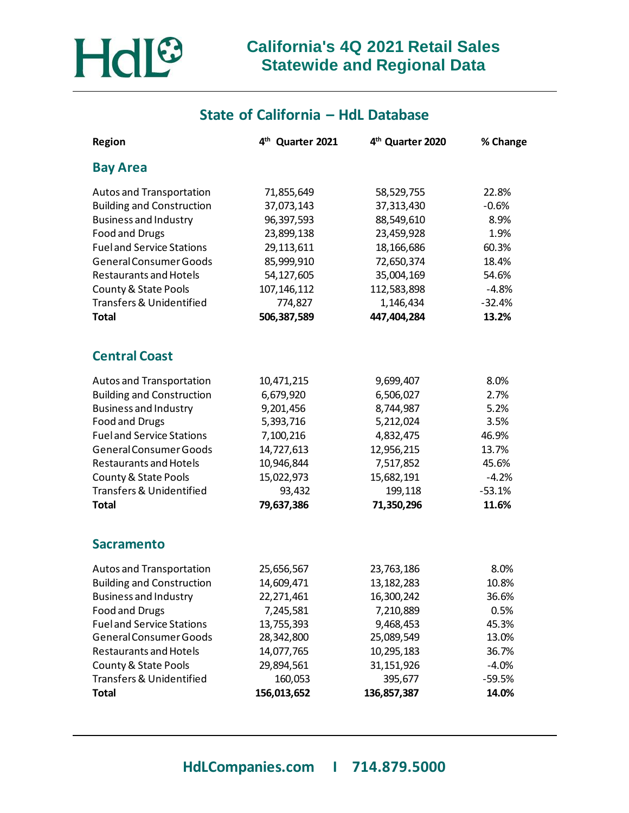

## **State of California – HdL Database**

| <b>Region</b>                       | 4 <sup>th</sup> Quarter 2021 | 4 <sup>th</sup> Quarter 2020 | % Change |
|-------------------------------------|------------------------------|------------------------------|----------|
| <b>Bay Area</b>                     |                              |                              |          |
| Autos and Transportation            | 71,855,649                   | 58,529,755                   | 22.8%    |
| <b>Building and Construction</b>    | 37,073,143                   | 37,313,430                   | $-0.6%$  |
| <b>Business and Industry</b>        | 96,397,593                   | 88,549,610                   | 8.9%     |
| Food and Drugs                      | 23,899,138                   | 23,459,928                   | 1.9%     |
| <b>Fueland Service Stations</b>     | 29,113,611                   | 18,166,686                   | 60.3%    |
| General Consumer Goods              | 85,999,910                   | 72,650,374                   | 18.4%    |
| <b>Restaurants and Hotels</b>       | 54,127,605                   | 35,004,169                   | 54.6%    |
| County & State Pools                | 107, 146, 112                | 112,583,898                  | $-4.8%$  |
| Transfers & Unidentified            | 774,827                      | 1,146,434                    | $-32.4%$ |
| <b>Total</b>                        | 506,387,589                  | 447,404,284                  | 13.2%    |
| <b>Central Coast</b>                |                              |                              |          |
| Autos and Transportation            | 10,471,215                   | 9,699,407                    | 8.0%     |
| <b>Building and Construction</b>    | 6,679,920                    | 6,506,027                    | 2.7%     |
| <b>Business and Industry</b>        | 9,201,456                    | 8,744,987                    | 5.2%     |
| Food and Drugs                      | 5,393,716                    | 5,212,024                    | 3.5%     |
| <b>Fueland Service Stations</b>     | 7,100,216                    | 4,832,475                    | 46.9%    |
| General Consumer Goods              | 14,727,613                   | 12,956,215                   | 13.7%    |
| <b>Restaurants and Hotels</b>       | 10,946,844                   | 7,517,852                    | 45.6%    |
| County & State Pools                | 15,022,973                   | 15,682,191                   | $-4.2%$  |
| Transfers & Unidentified            | 93,432                       | 199,118                      | $-53.1%$ |
| <b>Total</b>                        | 79,637,386                   | 71,350,296                   | 11.6%    |
| <b>Sacramento</b>                   |                              |                              |          |
| Autos and Transportation            | 25,656,567                   | 23,763,186                   | 8.0%     |
| <b>Building and Construction</b>    | 14,609,471                   | 13, 182, 283                 | 10.8%    |
| <b>Business and Industry</b>        | 22,271,461                   | 16,300,242                   | 36.6%    |
| Food and Drugs                      | 7,245,581                    | 7,210,889                    | 0.5%     |
| <b>Fueland Service Stations</b>     | 13,755,393                   | 9,468,453                    | 45.3%    |
| General Consumer Goods              | 28,342,800                   | 25,089,549                   | 13.0%    |
| <b>Restaurants and Hotels</b>       | 14,077,765                   | 10,295,183                   | 36.7%    |
| County & State Pools                | 29,894,561                   | 31, 151, 926                 | $-4.0%$  |
| <b>Transfers &amp; Unidentified</b> | 160,053                      | 395,677                      | $-59.5%$ |
| <b>Total</b>                        | 156,013,652                  | 136,857,387                  | 14.0%    |